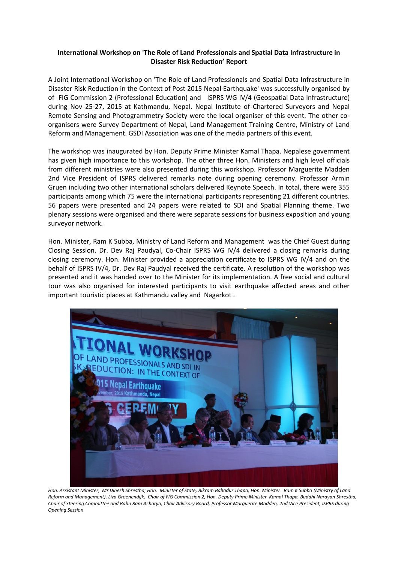## **International Workshop on 'The Role of Land Professionals and Spatial Data Infrastructure in Disaster Risk Reduction' Report**

A Joint International Workshop on 'The Role of Land Professionals and Spatial Data Infrastructure in Disaster Risk Reduction in the Context of Post 2015 Nepal Earthquake' was successfully organised by of FIG Commission 2 (Professional Education) and ISPRS WG IV/4 (Geospatial Data Infrastructure) during Nov 25-27, 2015 at Kathmandu, Nepal. Nepal Institute of Chartered Surveyors and Nepal Remote Sensing and Photogrammetry Society were the local organiser of this event. The other coorganisers were Survey Department of Nepal, Land Management Training Centre, Ministry of Land Reform and Management. GSDI Association was one of the media partners of this event.

The workshop was inaugurated by Hon. Deputy Prime Minister Kamal Thapa. Nepalese government has given high importance to this workshop. The other three Hon. Ministers and high level officials from different ministries were also presented during this workshop. Professor Marguerite Madden 2nd Vice President of ISPRS delivered remarks note during opening ceremony. Professor Armin Gruen including two other international scholars delivered Keynote Speech. In total, there were 355 participants among which 75 were the international participants representing 21 different countries. 56 papers were presented and 24 papers were related to SDI and Spatial Planning theme. Two plenary sessions were organised and there were separate sessions for business exposition and young surveyor network.

Hon. Minister, Ram K Subba, Ministry of Land Reform and Management was the Chief Guest during Closing Session. Dr. Dev Raj Paudyal, Co-Chair ISPRS WG IV/4 delivered a closing remarks during closing ceremony. Hon. Minister provided a appreciation certificate to ISPRS WG IV/4 and on the behalf of ISPRS IV/4, Dr. Dev Raj Paudyal received the certificate. A resolution of the workshop was presented and it was handed over to the Minister for its implementation. A free social and cultural tour was also organised for interested participants to visit earthquake affected areas and other important touristic places at Kathmandu valley and Nagarkot .



*Hon. Assistant Minister, Mr Dinesh Shrestha; Hon. Minister of State, Bikram Bahadur Thapa, Hon. Minister Ram K Subba (Ministry of Land Reform and Management), Liza Groenendijk, Chair of FIG Commission 2, Hon. Deputy Prime Minister Kamal Thapa, Buddhi Narayan Shrestha, Chair of Steering Committee and Babu Ram Acharya, Chair Advisory Board, Professor Marguerite Madden, 2nd Vice President, ISPRS during Opening Session*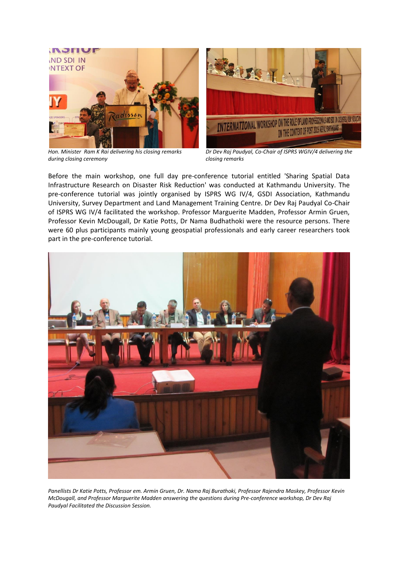

*Hon. Minister Ram K Rai delivering his closing remarks during closing ceremony*



*Dr Dev Raj Paudyal, Co-Chair of ISPRS WGIV/4 delivering the closing remarks*

Before the main workshop, one full day pre-conference tutorial entitled 'Sharing Spatial Data Infrastructure Research on Disaster Risk Reduction' was conducted at Kathmandu University. The pre-conference tutorial was jointly organised by ISPRS WG IV/4, GSDI Association, Kathmandu University, Survey Department and Land Management Training Centre. Dr Dev Raj Paudyal Co-Chair of ISPRS WG IV/4 facilitated the workshop. Professor Marguerite Madden, Professor Armin Gruen, Professor Kevin McDougall, Dr Katie Potts, Dr Nama Budhathoki were the resource persons. There were 60 plus participants mainly young geospatial professionals and early career researchers took part in the pre-conference tutorial.



*Panellists Dr Katie Potts, Professor em. Armin Gruen, Dr. Nama Raj Burathoki, Professor Rajendra Maskey, Professor Kevin McDougall, and Professor Marguerite Madden answering the questions during Pre-conference workshop, Dr Dev Raj Paudyal Facilitated the Discussion Session.*